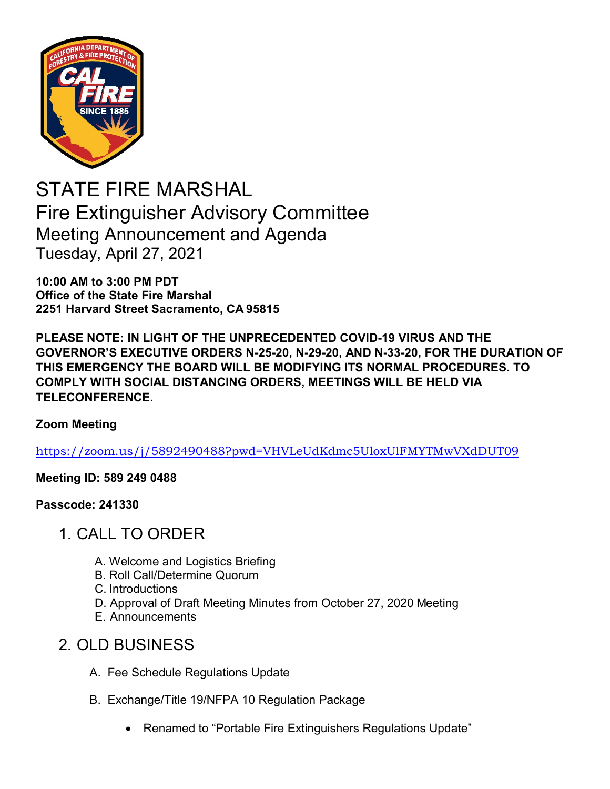

STATE FIRE MARSHAL Fire Extinguisher Advisory Committee Meeting Announcement and Agenda Tuesday, April 27, 2021

**10:00 AM to 3:00 PM PDT Office of the State Fire Marshal 2251 Harvard Street Sacramento, CA 95815**

**PLEASE NOTE: IN LIGHT OF THE UNPRECEDENTED COVID-19 VIRUS AND THE GOVERNOR'S EXECUTIVE ORDERS N-25-20, N-29-20, AND N-33-20, FOR THE DURATION OF THIS EMERGENCY THE BOARD WILL BE MODIFYING ITS NORMAL PROCEDURES. TO COMPLY WITH SOCIAL DISTANCING ORDERS, MEETINGS WILL BE HELD VIA TELECONFERENCE.**

## **Zoom Meeting**

[https://zoom.us/j/5892490488?pwd=VHVLeUdKdmc5UloxUlFMYTMwVXdDUT09](https://gcc02.safelinks.protection.outlook.com/?url=https%3A%2F%2Fzoom.us%2Fj%2F5892490488%3Fpwd%3DVHVLeUdKdmc5UloxUlFMYTMwVXdDUT09&data=04%7C01%7CJeffrey.Schwartz%40fire.ca.gov%7Ca9de54a3693640ab60a208d8b65c2834%7C447a4ca05405454dad68c98a520261f8%7C1%7C0%7C637459854216538990%7CUnknown%7CTWFpbGZsb3d8eyJWIjoiMC4wLjAwMDAiLCJQIjoiV2luMzIiLCJBTiI6Ik1haWwiLCJXVCI6Mn0%3D%7C1000&sdata=0wVzWmPZbNBRxZs492eOvyuoZK4RvDl8kzCSoq4EXRw%3D&reserved=0)

**Meeting ID: 589 249 0488** 

**Passcode: 241330**

- 1. CALL TO ORDER
	- A. Welcome and Logistics Briefing
	- B. Roll Call/Determine Quorum
	- C. Introductions
	- D. Approval of Draft Meeting Minutes from October 27, 2020 Meeting
	- E. Announcements

## 2. OLD BUSINESS

- A. Fee Schedule Regulations Update
- B. Exchange/Title 19/NFPA 10 Regulation Package
	- Renamed to "Portable Fire Extinguishers Regulations Update"